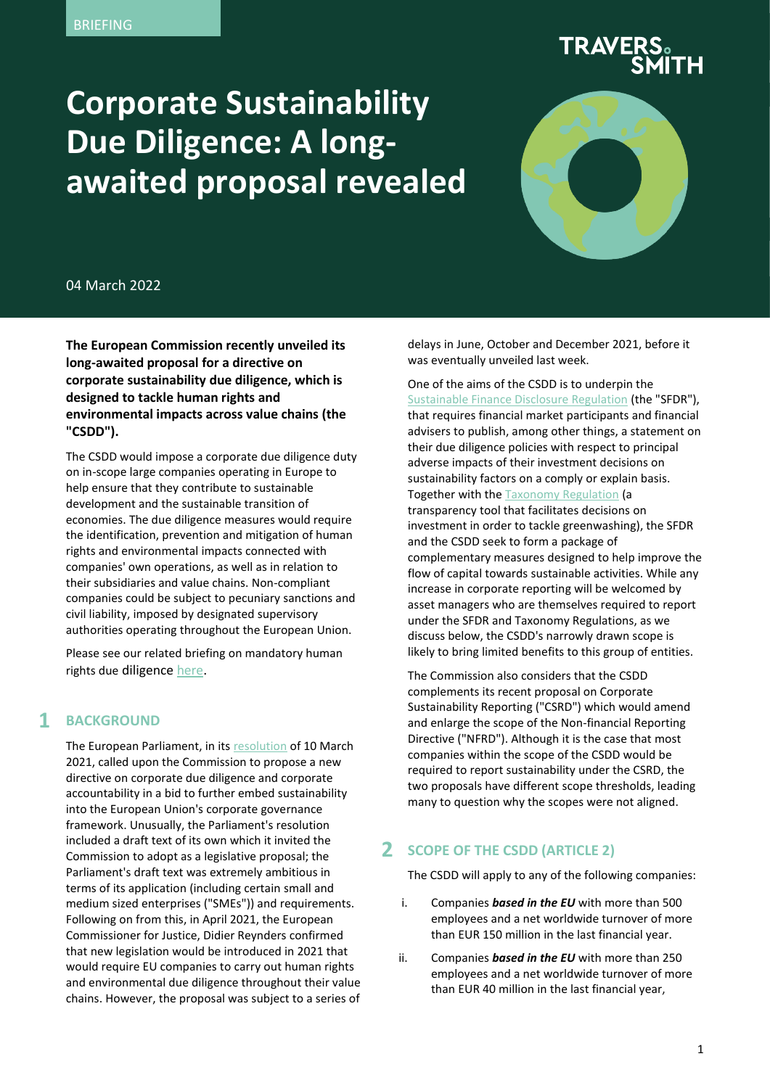# **Corporate Sustainability Due Diligence: A longawaited proposal revealed**



04 March 2022

**The European Commission recently unveiled its long-awaited proposal for a directive on corporate sustainability due diligence, which is designed to tackle human rights and environmental impacts across value chains (the "CSDD").**

The CSDD would impose a corporate due diligence duty on in-scope large companies operating in Europe to help ensure that they contribute to sustainable development and the sustainable transition of economies. The due diligence measures would require the identification, prevention and mitigation of human rights and environmental impacts connected with companies' own operations, as well as in relation to their subsidiaries and value chains. Non-compliant companies could be subject to pecuniary sanctions and civil liability, imposed by designated supervisory authorities operating throughout the European Union.

Please see our related briefing on mandatory human rights due diligence [here.](https://www.traverssmith.com/knowledge/knowledge-container/business-human-rights-update-eu-supply-chain-directive-proposals/)

#### **1 BACKGROUND**

The European Parliament, in it[s resolution](https://eur-lex.europa.eu/legal-content/EN/TXT/?uri=CELEX:52021IP0073) of 10 March 2021, called upon the Commission to propose a new directive on corporate due diligence and corporate accountability in a bid to further embed sustainability into the European Union's corporate governance framework. Unusually, the Parliament's resolution included a draft text of its own which it invited the Commission to adopt as a legislative proposal; the Parliament's draft text was extremely ambitious in terms of its application (including certain small and medium sized enterprises ("SMEs")) and requirements. Following on from this, in April 2021, the European Commissioner for Justice, Didier Reynders confirmed that new legislation would be introduced in 2021 that would require EU companies to carry out human rights and environmental due diligence throughout their value chains. However, the proposal was subject to a series of delays in June, October and December 2021, before it was eventually unveiled last week.

One of the aims of the CSDD is to underpin the [Sustainable Finance Disclosure Regulation](https://eur-lex.europa.eu/legal-content/EN/TXT/?uri=CELEX%3A02019R2088-20200712) (the "SFDR"), that requires financial market participants and financial advisers to publish, among other things, a statement on their due diligence policies with respect to principal adverse impacts of their investment decisions on sustainability factors on a comply or explain basis. Together with th[e Taxonomy Regulation](https://eur-lex.europa.eu/legal-content/EN/TXT/PDF/?uri=CELEX:32020R0852&from=EN) (a transparency tool that facilitates decisions on investment in order to tackle greenwashing), the SFDR and the CSDD seek to form a package of complementary measures designed to help improve the flow of capital towards sustainable activities. While any increase in corporate reporting will be welcomed by asset managers who are themselves required to report under the SFDR and Taxonomy Regulations, as we discuss below, the CSDD's narrowly drawn scope is likely to bring limited benefits to this group of entities.

The Commission also considers that the CSDD complements its recent proposal on Corporate Sustainability Reporting ("CSRD") which would amend and enlarge the scope of the Non-financial Reporting Directive ("NFRD"). Although it is the case that most companies within the scope of the CSDD would be required to report sustainability under the CSRD, the two proposals have different scope thresholds, leading many to question why the scopes were not aligned.

#### **2 SCOPE OF THE CSDD (ARTICLE 2)**

The CSDD will apply to any of the following companies:

- i. Companies *based in the EU* with more than 500 employees and a net worldwide turnover of more than EUR 150 million in the last financial year.
- ii. Companies *based in the EU* with more than 250 employees and a net worldwide turnover of more than EUR 40 million in the last financial year,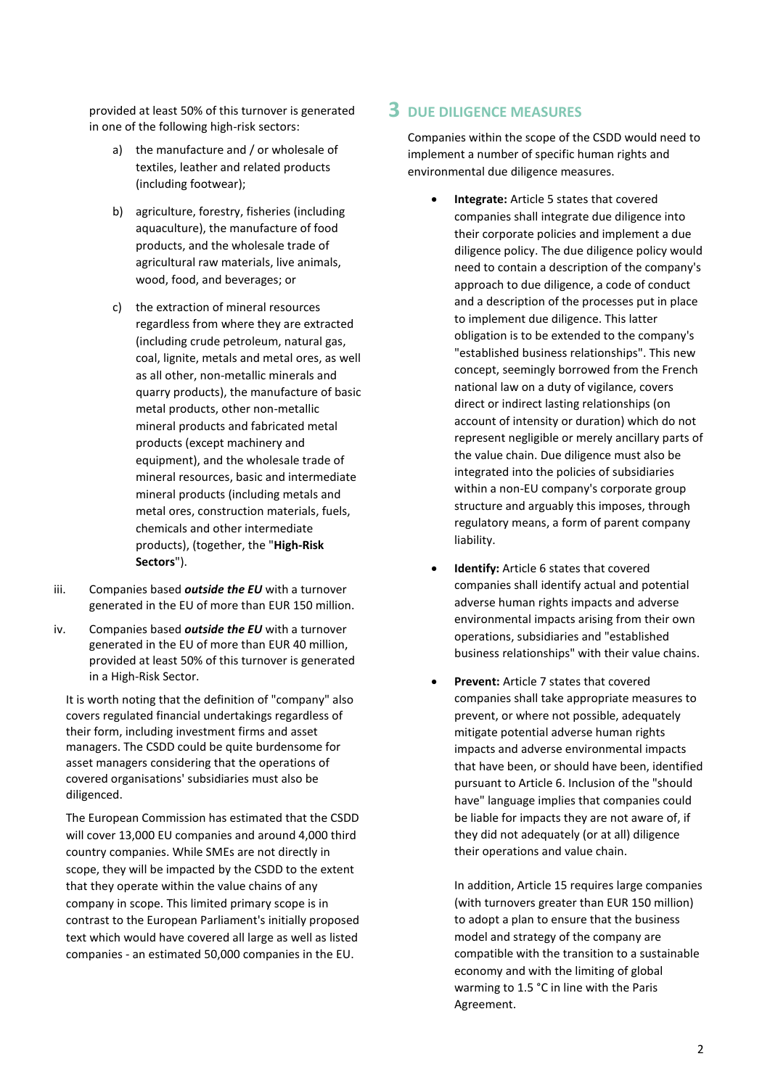provided at least 50% of this turnover is generated **3** in one of the following high-risk sectors:

- a) the manufacture and / or wholesale of textiles, leather and related products (including footwear);
- b) agriculture, forestry, fisheries (including aquaculture), the manufacture of food products, and the wholesale trade of agricultural raw materials, live animals, wood, food, and beverages; or
- c) the extraction of mineral resources regardless from where they are extracted (including crude petroleum, natural gas, coal, lignite, metals and metal ores, as well as all other, non-metallic minerals and quarry products), the manufacture of basic metal products, other non-metallic mineral products and fabricated metal products (except machinery and equipment), and the wholesale trade of mineral resources, basic and intermediate mineral products (including metals and metal ores, construction materials, fuels, chemicals and other intermediate products), (together, the "**High-Risk Sectors**").
- iii. Companies based *outside the EU* with a turnover generated in the EU of more than EUR 150 million.
- iv. Companies based *outside the EU* with a turnover generated in the EU of more than EUR 40 million, provided at least 50% of this turnover is generated in a High-Risk Sector.

It is worth noting that the definition of "company" also covers regulated financial undertakings regardless of their form, including investment firms and asset managers. The CSDD could be quite burdensome for asset managers considering that the operations of covered organisations' subsidiaries must also be diligenced.

The European Commission has estimated that the CSDD will cover 13,000 EU companies and around 4,000 third country companies. While SMEs are not directly in scope, they will be impacted by the CSDD to the extent that they operate within the value chains of any company in scope. This limited primary scope is in contrast to the European Parliament's initially proposed text which would have covered all large as well as listed companies - an estimated 50,000 companies in the EU.

### **3 DUE DILIGENCE MEASURES**

Companies within the scope of the CSDD would need to implement a number of specific human rights and environmental due diligence measures.

- **Integrate:** Article 5 states that covered companies shall integrate due diligence into their corporate policies and implement a due diligence policy. The due diligence policy would need to contain a description of the company's approach to due diligence, a code of conduct and a description of the processes put in place to implement due diligence. This latter obligation is to be extended to the company's "established business relationships". This new concept, seemingly borrowed from the French national law on a duty of vigilance, covers direct or indirect lasting relationships (on account of intensity or duration) which do not represent negligible or merely ancillary parts of the value chain. Due diligence must also be integrated into the policies of subsidiaries within a non-EU company's corporate group structure and arguably this imposes, through regulatory means, a form of parent company liability.
- **Identify:** Article 6 states that covered companies shall identify actual and potential adverse human rights impacts and adverse environmental impacts arising from their own operations, subsidiaries and "established business relationships" with their value chains.
- **Prevent:** Article 7 states that covered companies shall take appropriate measures to prevent, or where not possible, adequately mitigate potential adverse human rights impacts and adverse environmental impacts that have been, or should have been, identified pursuant to Article 6. Inclusion of the "should have" language implies that companies could be liable for impacts they are not aware of, if they did not adequately (or at all) diligence their operations and value chain.

In addition, Article 15 requires large companies (with turnovers greater than EUR 150 million) to adopt a plan to ensure that the business model and strategy of the company are compatible with the transition to a sustainable economy and with the limiting of global warming to 1.5 °C in line with the Paris Agreement.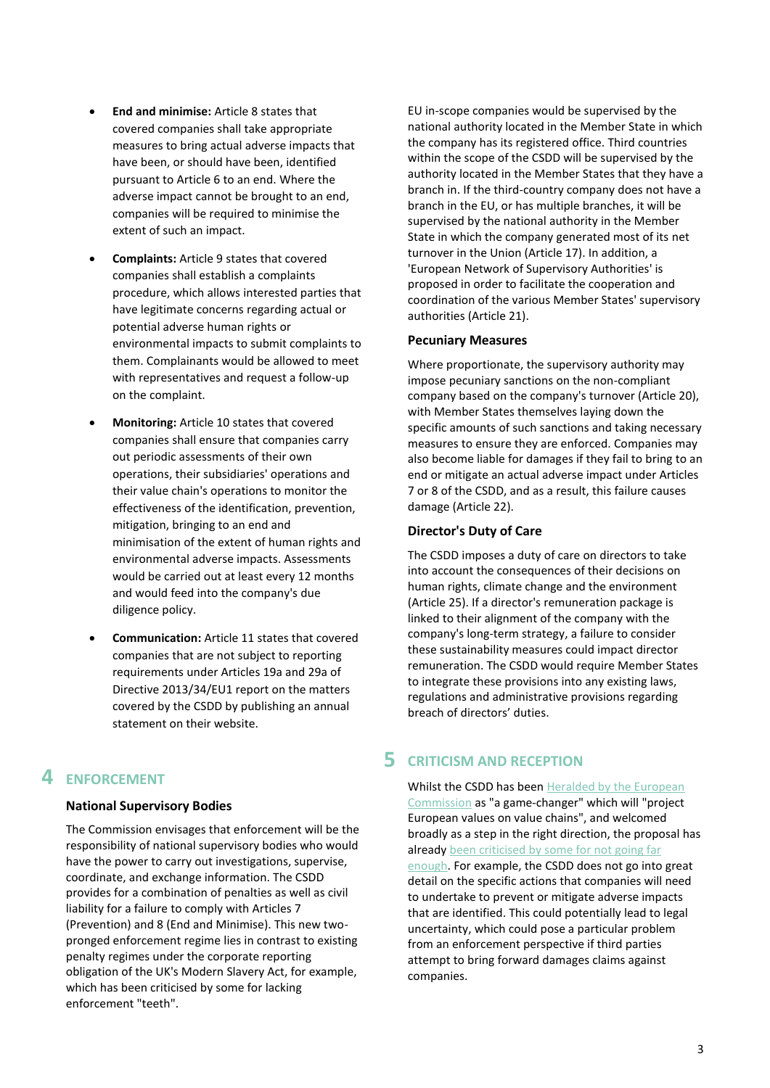- **End and minimise:** Article 8 states that covered companies shall take appropriate measures to bring actual adverse impacts that have been, or should have been, identified pursuant to Article 6 to an end. Where the adverse impact cannot be brought to an end, companies will be required to minimise the extent of such an impact.
- **Complaints:** Article 9 states that covered companies shall establish a complaints procedure, which allows interested parties that have legitimate concerns regarding actual or potential adverse human rights or environmental impacts to submit complaints to them. Complainants would be allowed to meet with representatives and request a follow-up on the complaint.
- **Monitoring:** Article 10 states that covered companies shall ensure that companies carry out periodic assessments of their own operations, their subsidiaries' operations and their value chain's operations to monitor the effectiveness of the identification, prevention, mitigation, bringing to an end and minimisation of the extent of human rights and environmental adverse impacts. Assessments would be carried out at least every 12 months and would feed into the company's due diligence policy.
- **Communication:** Article 11 states that covered companies that are not subject to reporting requirements under Articles 19a and 29a of Directive 2013/34/EU1 report on the matters covered by the CSDD by publishing an annual statement on their website.

# **4 ENFORCEMENT**

#### **National Supervisory Bodies**

The Commission envisages that enforcement will be the responsibility of national supervisory bodies who would have the power to carry out investigations, supervise, coordinate, and exchange information. The CSDD provides for a combination of penalties as well as civil liability for a failure to comply with Articles 7 (Prevention) and 8 (End and Minimise). This new twopronged enforcement regime lies in contrast to existing penalty regimes under the corporate reporting obligation of the UK's Modern Slavery Act, for example, which has been criticised by some for lacking enforcement "teeth".

EU in-scope companies would be supervised by the national authority located in the Member State in which the company has its registered office. Third countries within the scope of the CSDD will be supervised by the authority located in the Member States that they have a branch in. If the third-country company does not have a branch in the EU, or has multiple branches, it will be supervised by the national authority in the Member State in which the company generated most of its net turnover in the Union (Article 17). In addition, a 'European Network of Supervisory Authorities' is proposed in order to facilitate the cooperation and coordination of the various Member States' supervisory authorities (Article 21).

#### **Pecuniary Measures**

Where proportionate, the supervisory authority may impose pecuniary sanctions on the non-compliant company based on the company's turnover (Article 20), with Member States themselves laying down the specific amounts of such sanctions and taking necessary measures to ensure they are enforced. Companies may also become liable for damages if they fail to bring to an end or mitigate an actual adverse impact under Articles 7 or 8 of the CSDD, and as a result, this failure causes damage (Article 22).

#### **Director's Duty of Care**

The CSDD imposes a duty of care on directors to take into account the consequences of their decisions on human rights, climate change and the environment (Article 25). If a director's remuneration package is linked to their alignment of the company with the company's long-term strategy, a failure to consider these sustainability measures could impact director remuneration. The CSDD would require Member States to integrate these provisions into any existing laws, regulations and administrative provisions regarding breach of directors' duties.

# **5 CRITICISM AND RECEPTION**

Whilst the CSDD has been Heralded by the European [Commission](https://ec.europa.eu/commission/presscorner/detail/en/ip_22_1145) as "a game-changer" which will "project European values on value chains", and welcomed broadly as a step in the right direction, the proposal has already been criticised by some for not going far [enough.](https://interdependencecoalition.eu/the-european-commission-has-missed-an-opportunity-to-make-history-with-its-proposal-on-corporate-sustainability-due-diligence/) For example, the CSDD does not go into great detail on the specific actions that companies will need to undertake to prevent or mitigate adverse impacts that are identified. This could potentially lead to legal uncertainty, which could pose a particular problem from an enforcement perspective if third parties attempt to bring forward damages claims against companies.